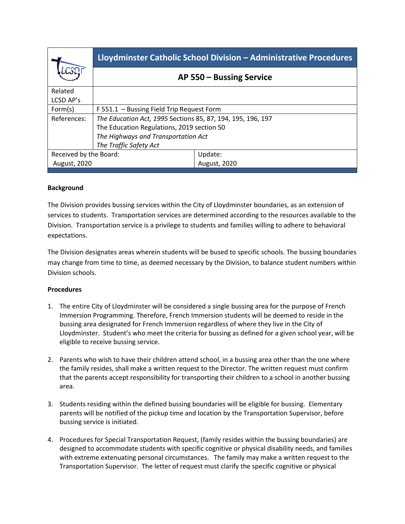|                        | Lloydminster Catholic School Division - Administrative Procedures |              |
|------------------------|-------------------------------------------------------------------|--------------|
|                        | AP 550 – Bussing Service                                          |              |
| Related                |                                                                   |              |
| LCSD AP's              |                                                                   |              |
| Form(s)                | F 551.1 - Bussing Field Trip Request Form                         |              |
| References:            | The Education Act, 1995 Sections 85, 87, 194, 195, 196, 197       |              |
|                        | The Education Regulations, 2019 section 50                        |              |
|                        | The Highways and Transportation Act                               |              |
|                        | The Traffic Safety Act                                            |              |
| Received by the Board: |                                                                   | Update:      |
| August, 2020           |                                                                   | August, 2020 |
|                        |                                                                   |              |

## **Background**

The Division provides bussing services within the City of Lloydminster boundaries, as an extension of services to students. Transportation services are determined according to the resources available to the Division. Transportation service is a privilege to students and families willing to adhere to behavioral expectations.

The Division designates areas wherein students will be bused to specific schools. The bussing boundaries may change from time to time, as deemed necessary by the Division, to balance student numbers within Division schools.

## **Procedures**

- 1. The entire City of Lloydminster will be considered a single bussing area for the purpose of French Immersion Programming. Therefore, French Immersion students will be deemed to reside in the bussing area designated for French Immersion regardless of where they live in the City of Lloydminster. Student's who meet the criteria for bussing as defined for a given school year, will be eligible to receive bussing service.
- 2. Parents who wish to have their children attend school, in a bussing area other than the one where the family resides, shall make a written request to the Director. The written request must confirm that the parents accept responsibility for transporting their children to a school in another bussing area.
- 3. Students residing within the defined bussing boundaries will be eligible for bussing. Elementary parents will be notified of the pickup time and location by the Transportation Supervisor, before bussing service is initiated.
- 4. Procedures for Special Transportation Request, (family resides within the bussing boundaries) are designed to accommodate students with specific cognitive or physical disability needs, and families with extreme extenuating personal circumstances. The family may make a written request to the Transportation Supervisor. The letter of request must clarify the specific cognitive or physical